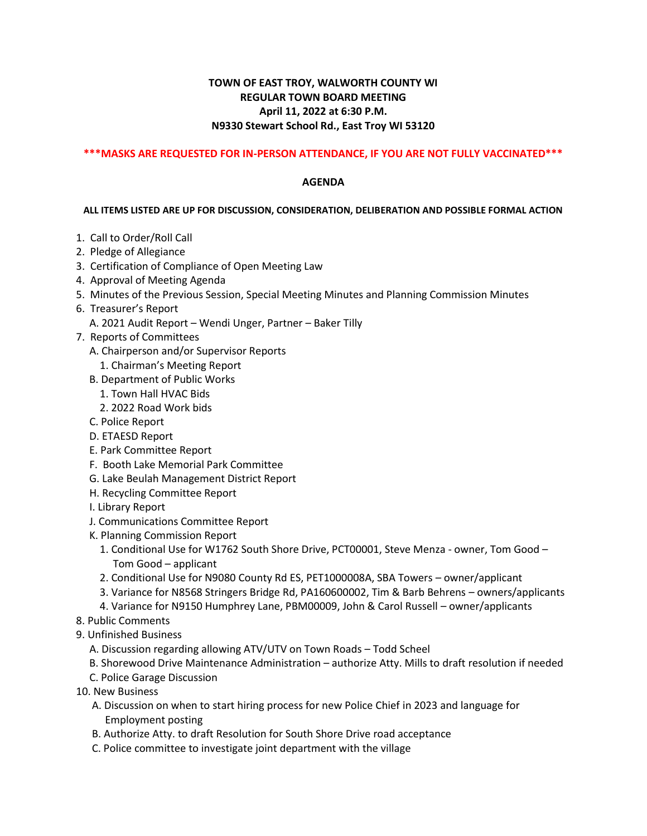## **TOWN OF EAST TROY, WALWORTH COUNTY WI REGULAR TOWN BOARD MEETING April 11, 2022 at 6:30 P.M. N9330 Stewart School Rd., East Troy WI 53120**

## **\*\*\*MASKS ARE REQUESTED FOR IN-PERSON ATTENDANCE, IF YOU ARE NOT FULLY VACCINATED\*\*\***

## **AGENDA**

## **ALL ITEMS LISTED ARE UP FOR DISCUSSION, CONSIDERATION, DELIBERATION AND POSSIBLE FORMAL ACTION**

- 1. Call to Order/Roll Call
- 2. Pledge of Allegiance
- 3. Certification of Compliance of Open Meeting Law
- 4. Approval of Meeting Agenda
- 5. Minutes of the Previous Session, Special Meeting Minutes and Planning Commission Minutes
- 6. Treasurer's Report
	- A. 2021 Audit Report Wendi Unger, Partner Baker Tilly
- 7. Reports of Committees
	- A. Chairperson and/or Supervisor Reports
	- 1. Chairman's Meeting Report
	- B. Department of Public Works
		- 1. Town Hall HVAC Bids
		- 2. 2022 Road Work bids
	- C. Police Report
	- D. ETAESD Report
	- E. Park Committee Report
	- F. Booth Lake Memorial Park Committee
	- G. Lake Beulah Management District Report
	- H. Recycling Committee Report
	- I. Library Report
	- J. Communications Committee Report
	- K. Planning Commission Report
		- 1. Conditional Use for W1762 South Shore Drive, PCT00001, Steve Menza owner, Tom Good Tom Good – applicant
		- 2. Conditional Use for N9080 County Rd ES, PET1000008A, SBA Towers owner/applicant
		- 3. Variance for N8568 Stringers Bridge Rd, PA160600002, Tim & Barb Behrens owners/applicants
		- 4. Variance for N9150 Humphrey Lane, PBM00009, John & Carol Russell owner/applicants
- 8. Public Comments
- 9. Unfinished Business
	- A. Discussion regarding allowing ATV/UTV on Town Roads Todd Scheel
	- B. Shorewood Drive Maintenance Administration authorize Atty. Mills to draft resolution if needed
	- C. Police Garage Discussion
- 10. New Business
	- A. Discussion on when to start hiring process for new Police Chief in 2023 and language for Employment posting
	- B. Authorize Atty. to draft Resolution for South Shore Drive road acceptance
	- C. Police committee to investigate joint department with the village